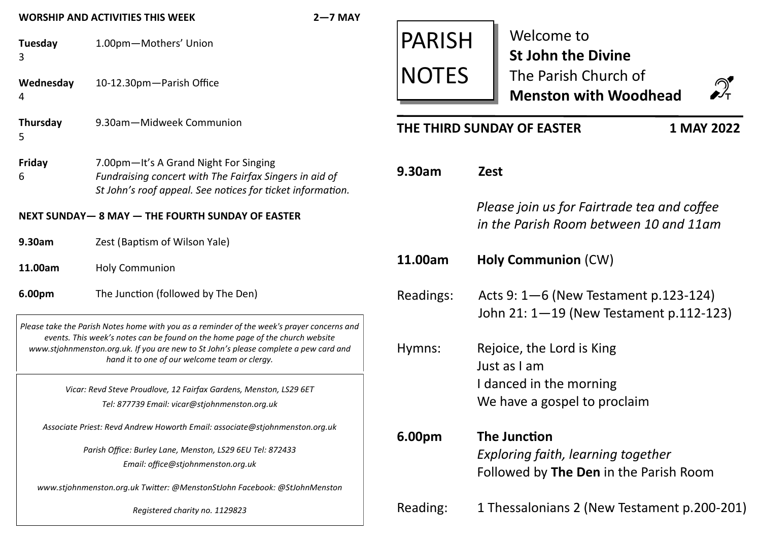| $2 - 7$ MAY<br><b>WORSHIP AND ACTIVITIES THIS WEEK</b>                                                                                                                                                                                                                                                               |                                                                                                                                                               |               |                                                                                                                               |
|----------------------------------------------------------------------------------------------------------------------------------------------------------------------------------------------------------------------------------------------------------------------------------------------------------------------|---------------------------------------------------------------------------------------------------------------------------------------------------------------|---------------|-------------------------------------------------------------------------------------------------------------------------------|
| Tuesday<br>3                                                                                                                                                                                                                                                                                                         | 1.00pm-Mothers' Union                                                                                                                                         | <b>PARISH</b> | Welcome to<br><b>St John the Divine</b><br>The Parish Church of<br>$\mathcal{D}_{\mathsf{T}}$<br><b>Menston with Woodhead</b> |
| Wednesday<br>4                                                                                                                                                                                                                                                                                                       | 10-12.30pm-Parish Office                                                                                                                                      | <b>NOTES</b>  |                                                                                                                               |
| <b>Thursday</b><br>5                                                                                                                                                                                                                                                                                                 | 9.30am-Midweek Communion                                                                                                                                      |               | 1 MAY 2022<br>THE THIRD SUNDAY OF EASTER                                                                                      |
| Friday<br>6                                                                                                                                                                                                                                                                                                          | 7.00pm-It's A Grand Night For Singing<br>Fundraising concert with The Fairfax Singers in aid of<br>St John's roof appeal. See notices for ticket information. | 9.30am        | <b>Zest</b>                                                                                                                   |
| NEXT SUNDAY-8 MAY - THE FOURTH SUNDAY OF EASTER                                                                                                                                                                                                                                                                      |                                                                                                                                                               |               | Please join us for Fairtrade tea and coffee<br>in the Parish Room between 10 and 11am                                         |
| 9.30am                                                                                                                                                                                                                                                                                                               | Zest (Baptism of Wilson Yale)                                                                                                                                 |               |                                                                                                                               |
| 11.00am                                                                                                                                                                                                                                                                                                              | <b>Holy Communion</b>                                                                                                                                         | 11.00am       | <b>Holy Communion (CW)</b>                                                                                                    |
| 6.00pm                                                                                                                                                                                                                                                                                                               | The Junction (followed by The Den)                                                                                                                            | Readings:     | Acts 9: $1-6$ (New Testament p.123-124)                                                                                       |
| Please take the Parish Notes home with you as a reminder of the week's prayer concerns and<br>events. This week's notes can be found on the home page of the church website<br>www.stjohnmenston.org.uk. If you are new to St John's please complete a pew card and<br>hand it to one of our welcome team or clergy. |                                                                                                                                                               | Hymns:        | John 21: 1-19 (New Testament p.112-123)<br>Rejoice, the Lord is King<br>Just as I am                                          |
| Vicar: Revd Steve Proudlove, 12 Fairfax Gardens, Menston, LS29 6ET<br>Tel: 877739 Email: vicar@stjohnmenston.org.uk                                                                                                                                                                                                  |                                                                                                                                                               |               | I danced in the morning<br>We have a gospel to proclaim                                                                       |
| Associate Priest: Revd Andrew Howorth Email: associate@stjohnmenston.org.uk                                                                                                                                                                                                                                          |                                                                                                                                                               | 6.00pm        | The Junction                                                                                                                  |
| Parish Office: Burley Lane, Menston, LS29 6EU Tel: 872433<br>Email: office@stjohnmenston.org.uk                                                                                                                                                                                                                      |                                                                                                                                                               |               | Exploring faith, learning together<br>Followed by The Den in the Parish Room                                                  |
| www.stjohnmenston.org.uk Twitter: @MenstonStJohn Facebook: @StJohnMenston                                                                                                                                                                                                                                            |                                                                                                                                                               |               |                                                                                                                               |
| Registered charity no. 1129823                                                                                                                                                                                                                                                                                       |                                                                                                                                                               | Reading:      | 1 Thessalonians 2 (New Testament p.200-201)                                                                                   |